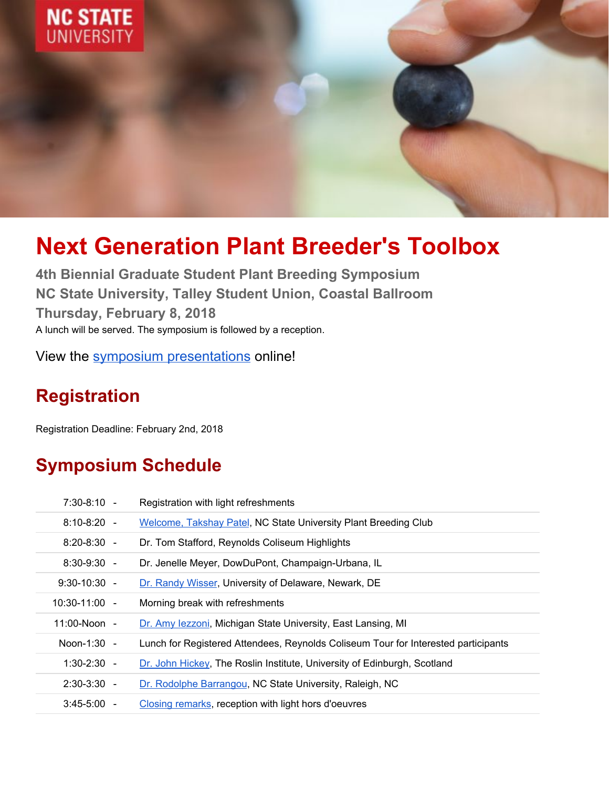

# **Next Generation Plant Breeder's Toolbox**

**4th Biennial Graduate Student Plant Breeding Symposium NC State University, Talley Student Union, Coastal Ballroom Thursday, February 8, 2018** A lunch will be served. The symposium is followed by a reception.

View the symposium [presentations](https://vimeo.com/channels/1346309) online!

# **Registration**

Registration Deadline: February 2nd, 2018

### **Symposium Schedule**

| $7:30-8:10 -$   | Registration with light refreshments                                               |
|-----------------|------------------------------------------------------------------------------------|
| $8:10-8:20 -$   | <b>Welcome, Takshay Patel, NC State University Plant Breeding Club</b>             |
| $8:20 - 8:30 -$ | Dr. Tom Stafford, Reynolds Coliseum Highlights                                     |
| $8:30-9:30 -$   | Dr. Jenelle Meyer, DowDuPont, Champaign-Urbana, IL                                 |
| $9:30-10:30 -$  | Dr. Randy Wisser, University of Delaware, Newark, DE                               |
| $10:30-11:00 -$ | Morning break with refreshments                                                    |
| $11:00-Noon -$  | Dr. Amy lezzoni, Michigan State University, East Lansing, MI                       |
| Noon-1:30 -     | Lunch for Registered Attendees, Reynolds Coliseum Tour for Interested participants |
| $1:30-2:30 -$   | Dr. John Hickey, The Roslin Institute, University of Edinburgh, Scotland           |
| $2:30-3:30 -$   | Dr. Rodolphe Barrangou, NC State University, Raleigh, NC                           |
| $3:45-5:00 -$   | Closing remarks, reception with light hors d'oeuvres                               |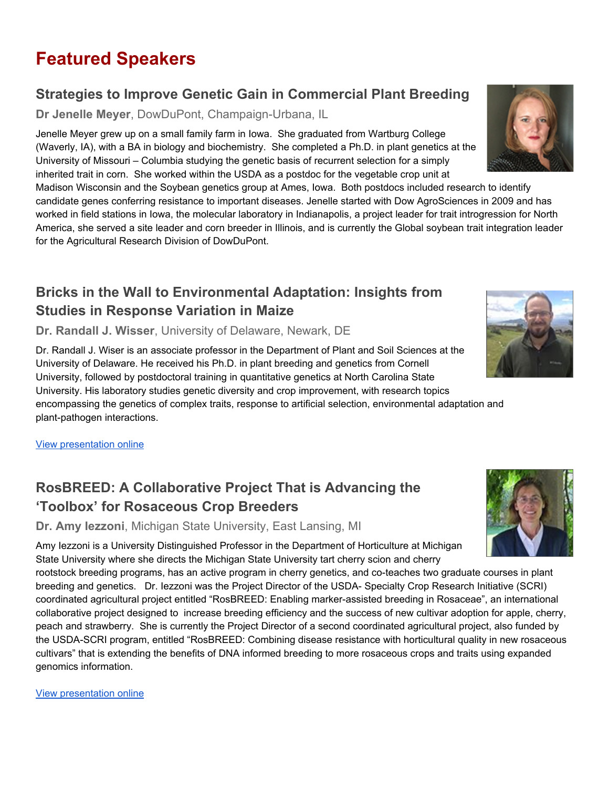# **Featured Speakers**

#### **Strategies to Improve Genetic Gain in Commercial Plant Breeding**

**Dr Jenelle Meyer**, DowDuPont, Champaign-Urbana, IL

Jenelle Meyer grew up on a small family farm in Iowa. She graduated from Wartburg College (Waverly, IA), with a BA in biology and biochemistry. She completed a Ph.D. in plant genetics at the University of Missouri – Columbia studying the genetic basis of recurrent selection for a simply inherited trait in corn. She worked within the USDA as a postdoc for the vegetable crop unit at

Madison Wisconsin and the Soybean genetics group at Ames, Iowa. Both postdocs included research to identify candidate genes conferring resistance to important diseases. Jenelle started with Dow AgroSciences in 2009 and has worked in field stations in Iowa, the molecular laboratory in Indianapolis, a project leader for trait introgression for North America, she served a site leader and corn breeder in Illinois, and is currently the Global soybean trait integration leader for the Agricultural Research Division of DowDuPont.

#### **Bricks in the Wall to Environmental Adaptation: Insights from Studies in Response Variation in Maize**

**Dr. Randall J. Wisser**, University of Delaware, Newark, DE

Dr. Randall J. Wiser is an associate professor in the Department of Plant and Soil Sciences at the University of Delaware. He received his Ph.D. in plant breeding and genetics from Cornell University, followed by postdoctoral training in quantitative genetics at North Carolina State University. His laboratory studies genetic diversity and crop improvement, with research topics encompassing the genetics of complex traits, response to artificial selection, environmental adaptation and plant-pathogen interactions.

View [presentation](https://vimeo.com/channels/1346309/255072354) online

### **RosBREED: A Collaborative Project That is Advancing the 'Toolbox' for Rosaceous Crop Breeders**

**Dr. Amy Iezzoni**, Michigan State University, East Lansing, MI

Amy Iezzoni is a University Distinguished Professor in the Department of Horticulture at Michigan State University where she directs the Michigan State University tart cherry scion and cherry rootstock breeding programs, has an active program in cherry genetics, and co-teaches two graduate courses in plant breeding and genetics. Dr. Iezzoni was the Project Director of the USDA- Specialty Crop Research Initiative (SCRI) coordinated agricultural project entitled "RosBREED: Enabling marker-assisted breeding in Rosaceae", an international collaborative project designed to increase breeding efficiency and the success of new cultivar adoption for apple, cherry, peach and strawberry. She is currently the Project Director of a second coordinated agricultural project, also funded by the USDA-SCRI program, entitled "RosBREED: Combining disease resistance with horticultural quality in new rosaceous

cultivars" that is extending the benefits of DNA informed breeding to more rosaceous crops and traits using expanded genomics information.

View [presentation](https://vimeo.com/channels/1346309/255071618) online